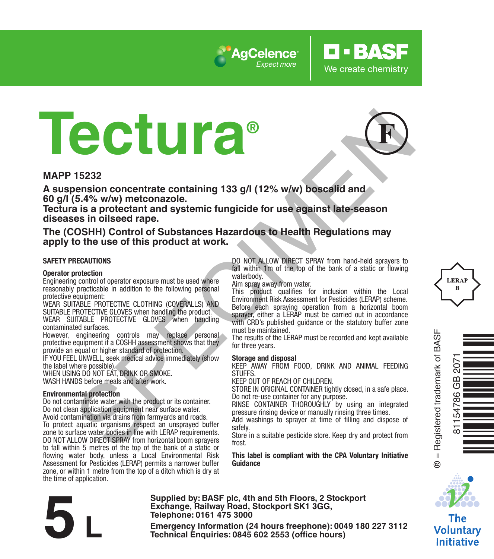

# **Tectura® Example 15232**<br>
SPECIES CONDITIES CONTROL CONTROL CONTROL CONTROL CONTROL CONTROL CONTROL CONTROL CONTROL CONTROL CONTROL CONTROL CONTROL CONTROL CONTROL CONTROL CONTROL CONTROL CONTROL CONTROL CONTROL CONTROL CONTROL CON

### **MAPP 15232**

**A suspension concentrate containing 133 g/l (12% w/w) boscalid and 60 g/l (5.4% w/w) metconazole.** 

**Tectura is a protectant and systemic fungicide for use against late-season diseases in oilseed rape.**

### **The (COSHH) Control of Substances Hazardous to Health Regulations may apply to the use of this product at work.**

### **SAFETY PRECAUTIONS**

### **Operator protection**

Engineering control of operator exposure must be used where reasonably practicable in addition to the following personal protective equipment:

WEAR SUITABLE PROTECTIVE CLOTHING (COVERALLS) AND SUITABLE PROTECTIVE GLOVES when handling the product. WEAR SUITABLE PROTECTIVE GLOVES when handling contaminated surfaces.

However, engineering controls may replace personal protective equipment if a COSHH assessment shows that they provide an equal or higher standard of protection.

IF YOU FEEL UNWELL, seek medical advice immediately (show the label where possible).

WHEN USING DO NOT FAT, DRINK OR SMOKE. WASH HANDS before meals and after work.

### **Environmental protection**

Do not contaminate water with the product or its container. Do not clean application equipment near surface water. Avoid contamination via drains from farmyards and roads. To protect aquatic organisms respect an unsprayed buffer zone to surface water bodies in line with LERAP requirements. DO NOT ALLOW DIRECT SPRAY from horizontal boom sprayers to fall within 5 metres of the top of the bank of a static or flowing water body, unless a Local Environmental Risk Assessment for Pesticides (LERAP) permits a narrower buffer zone, or within 1 metre from the top of a ditch which is dry at the time of application.

DO NOT ALLOW DIRECT SPRAY from hand-held sprayers to fall within 1m of the top of the bank of a static or flowing waterbody.

**O-BASF** 

We create chemistry

Aim spray away from water.

This product qualifies for inclusion within the Local Environment Risk Assessment for Pesticides (LERAP) scheme. Before each spraying operation from a horizontal boom sprayer, either a LERAP must be carried out in accordance with CRD's published quidance or the statutory buffer zone must be maintained.

The results of the LERAP must be recorded and kept available for three years.

### **Storage and disposal**

KEEP AWAY FROM FOOD, DRINK AND ANIMAL FEEDING **STUFFS** 

KEEP OUT OF REACH OF CHILDREN.

STORE IN ORIGINAL CONTAINER tightly closed, in a safe place. Do not re-use container for any purpose.

RINSE CONTAINER THOROUGHLY by using an integrated pressure rinsing device or manually rinsing three times.

Add washings to sprayer at time of filling and dispose of safely.

Store in a suitable pesticide store. Keep dry and protect from frost.

**This label is compliant with the CPA Voluntary Initiative Guidance**



Voluntary **Initiative** 

**Supplied by: BASF plc, 4th and 5th Floors, 2 Stockport Exchange, Railway Road, Stockport SK1 3GG, Telephone: 0161 475 3000** Exchange, Rallway Road, Stockport SK1 3GG,<br>
Telephone: 0161 475 3000<br>
Emergency Information (24 hours freephone): 0049 180 227 3112<br>
Technical Enquiries: 0845 602 2553 (office hours)



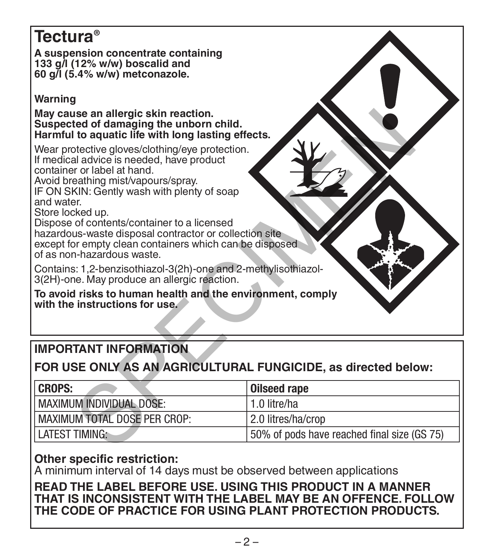# **Tectura®**

**A suspension concentrate containing 133 g/l (12% w/w) boscalid and 60 g/l (5.4% w/w) metconazole.** 

# **Warning**

**May cause an allergic skin reaction. Suspected of damaging the unborn child. Harmful to aquatic life with long lasting effects.**

# **IMPORTANT INFORMATION**

# **FOR USE ONLY AS AN AGRICULTURAL FUNGICIDE, as directed below:**

| May cause an allergic skin reaction.<br>Suspected of damaging the unborn child.<br>Harmful to aquatic life with long lasting effects.<br>Wear protective gloves/clothing/eye protection.<br>If medical advice is needed, have product<br>container or label at hand.<br>Avoid breathing mist/vapours/spray.<br>IF ON SKIN: Gently wash with plenty of soap<br>and water<br>Store locked up.<br>Dispose of contents/container to a licensed<br>hazardous-waste disposal contractor or collection site<br>except for empty clean containers which can be disposed<br>of as non-hazardous waste.<br>Contains: 1,2-benzisothiazol-3(2h)-one and 2-methylisothiazol-<br>3(2H)-one. May produce an allergic reaction. |                                             |
|-----------------------------------------------------------------------------------------------------------------------------------------------------------------------------------------------------------------------------------------------------------------------------------------------------------------------------------------------------------------------------------------------------------------------------------------------------------------------------------------------------------------------------------------------------------------------------------------------------------------------------------------------------------------------------------------------------------------|---------------------------------------------|
| To avoid risks to human health and the environment, comply                                                                                                                                                                                                                                                                                                                                                                                                                                                                                                                                                                                                                                                      |                                             |
| with the instructions for use.                                                                                                                                                                                                                                                                                                                                                                                                                                                                                                                                                                                                                                                                                  |                                             |
|                                                                                                                                                                                                                                                                                                                                                                                                                                                                                                                                                                                                                                                                                                                 |                                             |
| <b>IMPORTANT INFORMATION</b>                                                                                                                                                                                                                                                                                                                                                                                                                                                                                                                                                                                                                                                                                    |                                             |
| FOR USE ONLY AS AN AGRICULTURAL FUNGICIDE, as directed below:                                                                                                                                                                                                                                                                                                                                                                                                                                                                                                                                                                                                                                                   |                                             |
| <b>CROPS:</b>                                                                                                                                                                                                                                                                                                                                                                                                                                                                                                                                                                                                                                                                                                   | <b>Oilseed rape</b>                         |
| <b>MAXIMUM INDIVIDUAL DOSE:</b>                                                                                                                                                                                                                                                                                                                                                                                                                                                                                                                                                                                                                                                                                 | 1.0 litre/ha                                |
| <b>MAXIMUM TOTAL DOSE PER CROP:</b>                                                                                                                                                                                                                                                                                                                                                                                                                                                                                                                                                                                                                                                                             | 2.0 litres/ha/crop                          |
| <b>LATEST TIMING:</b>                                                                                                                                                                                                                                                                                                                                                                                                                                                                                                                                                                                                                                                                                           | 50% of pods have reached final size (GS 75) |
|                                                                                                                                                                                                                                                                                                                                                                                                                                                                                                                                                                                                                                                                                                                 |                                             |

# **Other specific restriction:**

A minimum interval of 14 days must be observed between applications

## **READ THE LABEL BEFORE USE. USING THIS PRODUCT IN A MANNER THAT IS INCONSISTENT WITH THE LABEL MAY BE AN OFFENCE. FOLLOW THE CODE OF PRACTICE FOR USING PLANT PROTECTION PRODUCTS.**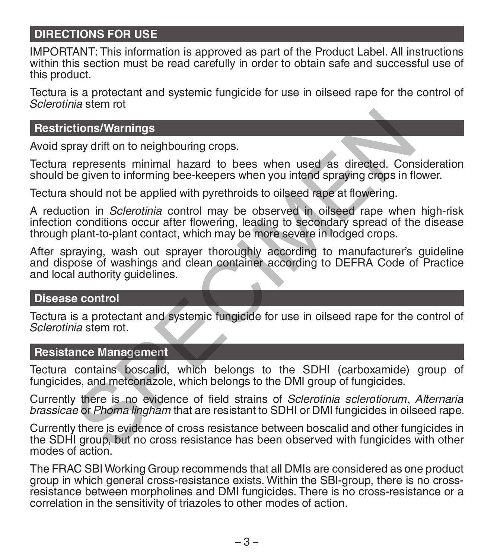# **DIRECTIONS FOR USE**

IMPORTANT: This information is approved as part of the Product Label. All instructions within this section must be read carefully in order to obtain safe and successful use of this product.

Tectura is a protectant and systemic fungicide for use in oilseed rape for the control of *Sclerotinia* stem rot

### **Restrictions/Warnings**

Avoid spray drift on to neighbouring crops.

Tectura represents minimal hazard to bees when used as directed. Consideration should be given to informing bee-keepers when you intend spraying crops in flower.

Tectura should not be applied with pyrethroids to oilseed rape at flowering.

A reduction in *Sclerotinia* control may be observed in oilseed rape when high-risk infection conditions occur after flowering, leading to secondary spread of the disease through plant-to-plant contact, which may be more severe in lodged crops. tions/Warnings<br>ray drift on to neighbouring crops.<br>represents minimal hazard to bees when used as directed. Cone<br>given to informing bee-keepers when you intend spraying crops in fi<br>should not be applied with pyrethroids to

After spraying, wash out sprayer thoroughly according to manufacturer's guideline and dispose of washings and clean container according to DEFRA Code of Practice and local authority guidelines.

### **Disease control**

Tectura is a protectant and systemic fungicide for use in oilseed rape for the control of *Sclerotinia* stem rot.

### **Resistance Management**

Tectura contains boscalid, which belongs to the SDHI (carboxamide) group of fungicides, and metconazole, which belongs to the DMI group of fungicides.

Currently there is no evidence of field strains of *Sclerotinia sclerotiorum*, *Alternaria brassicae* or *Phoma lingham* that are resistant to SDHI or DMI fungicides in oilseed rape.

Currently there is evidence of cross resistance between boscalid and other fungicides in the SDHI group, but no cross resistance has been observed with fungicides with other modes of action.

The FRAC SBI Working Group recommends that all DMIs are considered as one product group in which general cross-resistance exists. Within the SBI-group, there is no crossresistance between morpholines and DMI fungicides. There is no cross-resistance or a correlation in the sensitivity of triazoles to other modes of action.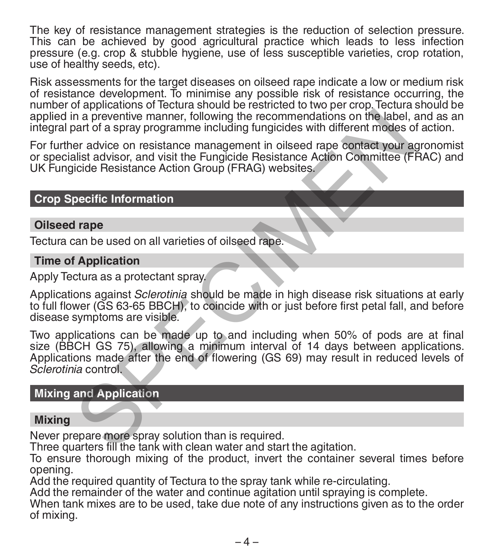The key of resistance management strategies is the reduction of selection pressure. This can be achieved by good agricultural practice which leads to less infection pressure (e.g. crop & stubble hygiene, use of less susceptible varieties, crop rotation, use of healthy seeds, etc).

Risk assessments for the target diseases on oilseed rape indicate a low or medium risk of resistance development. To minimise any possible risk of resistance occurring, the number of applications of Tectura should be restricted to two per crop. Tectura should be applied in a preventive manner, following the recommendations on the label, and as an integral part of a spray programme including fungicides with different modes of action.

For further advice on resistance management in oilseed rape contact your agronomist or specialist advisor, and visit the Fungicide Resistance Action Committee (FRAC) and UK Fungicide Resistance Action Group (FRAG) websites.

### **Crop Specific Information**

### **Oilseed rape**

Tectura can be used on all varieties of oilseed rape.

### **Time of Application**

Apply Tectura as a protectant spray.

Applications against *Sclerotinia* should be made in high disease risk situations at early to full flower (GS 63-65 BBCH), to coincide with or just before first petal fall, and before disease symptoms are visible.

Two applications can be made up to and including when 50% of pods are at final size (BBCH GS 75), allowing a minimum interval of 14 days between applications. Applications made after the end of flowering (GS 69) may result in reduced levels of *Sclerotinia* control. In a preventive manner, following the recommendations on the label, and of a spray programme including fungicides with different modes o<br>er advice on resistance management in oilsed rape contact your ac<br>list advisor, and v

## **Mixing and Application**

### **Mixing**

Never prepare more spray solution than is required.

Three quarters fill the tank with clean water and start the agitation.

To ensure thorough mixing of the product, invert the container several times before opening.

Add the required quantity of Tectura to the spray tank while re-circulating.

Add the remainder of the water and continue agitation until spraying is complete.

When tank mixes are to be used, take due note of any instructions given as to the order of mixing.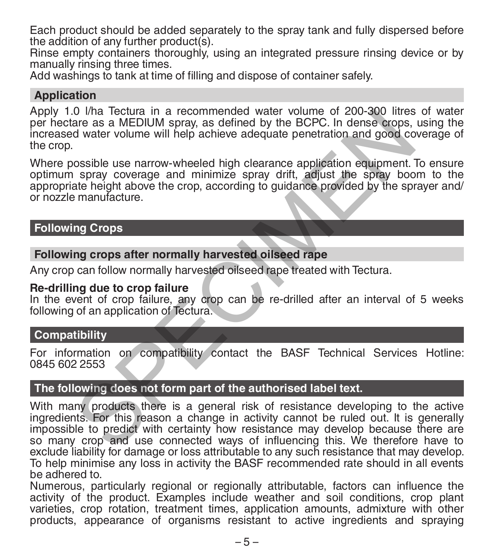Each product should be added separately to the spray tank and fully dispersed before the addition of any further product(s).

Rinse empty containers thoroughly, using an integrated pressure rinsing device or by manually rinsing three times.

Add washings to tank at time of filling and dispose of container safely.

# **Application**

Apply 1.0 l/ha Tectura in a recommended water volume of 200-300 litres of water per hectare as a MEDIUM spray, as defined by the BCPC. In dense crops, using the increased water volume will help achieve adequate penetration and good coverage of the crop.

Where possible use narrow-wheeled high clearance application equipment. To ensure optimum spray coverage and minimize spray drift, adjust the spray boom to the appropriate height above the crop, according to guidance provided by the sprayer and/ or nozzle manufacture.

### **Following Crops**

### **Following crops after normally harvested oilseed rape**

Any crop can follow normally harvested oilseed rape treated with Tectura.

### **Re-drilling due to crop failure**

In the event of crop failure, any crop can be re-drilled after an interval of 5 weeks following of an application of Tectura.

## **Compatibility**

For information on compatibility contact the BASF Technical Services Hotline: 0845 602 2553

## **The following does not form part of the authorised label text.**

With many products there is a general risk of resistance developing to the active ingredients. For this reason a change in activity cannot be ruled out. It is generally impossible to predict with certainty how resistance may develop because there are so many crop and use connected ways of influencing this. We therefore have to exclude liability for damage or loss attributable to any such resistance that may develop. To help minimise any loss in activity the BASF recommended rate should in all events be adhered to. 0 Vma lecture in a recommended water volume of 200-300 litres<br>are as a MEDIUM spray, as defined by the BCPC. In dense crops,<br>d water volume will help achieve adequate penetration and good co<br>ossible use narrow-wheeled high

Numerous, particularly regional or regionally attributable, factors can influence the activity of the product. Examples include weather and soil conditions, crop plant varieties, crop rotation, treatment times, application amounts, admixture with other products, appearance of organisms resistant to active ingredients and spraying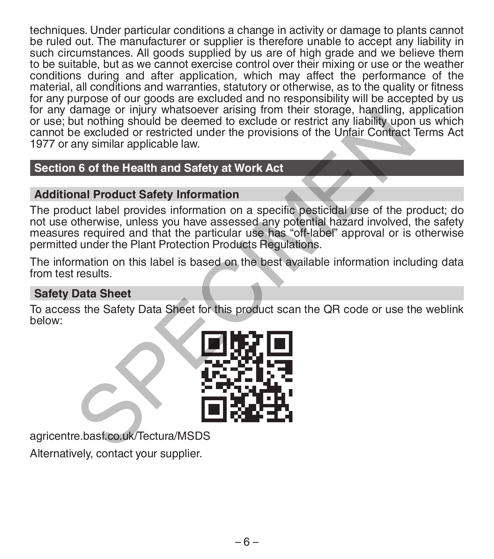techniques. Under particular conditions a change in activity or damage to plants cannot be ruled out. The manufacturer or supplier is therefore unable to accept any liability in such circumstances. All goods supplied by us are of high grade and we believe them to be suitable, but as we cannot exercise control over their mixing or use or the weather conditions during and after application, which may affect the performance of the material, all conditions and warranties, statutory or otherwise, as to the quality or fitness for any purpose of our goods are excluded and no responsibility will be accepted by us for any damage or injury whatsoever arising from their storage, handling, application or use; but nothing should be deemed to exclude or restrict any liability upon us which cannot be excluded or restricted under the provisions of the Unfair Contract Terms Act 1977 or any similar applicable law.

# **Section 6 of the Health and Safety at Work Act**

# **Additional Product Safety Information**

The product label provides information on a specific pesticidal use of the product; do not use otherwise, unless you have assessed any potential hazard involved, the safety measures required and that the particular use has "off-label" approval or is otherwise permitted under the Plant Protection Products Regulations. Alarmage or injury whatsoever ansing from their storage, natiomal, a<br>tut nothing should be deemed to exclude or restrict any liability upon<br>e excluded or restricted under the provisions of the Unfair Contract<br>any similar a

The information on this label is based on the best available information including data from test results.

# **Safety Data Sheet**

To access the Safety Data Sheet for this product scan the QR code or use the weblink below:



agricentre.basf.co.uk/Tectura/MSDS

Alternatively, contact your supplier.